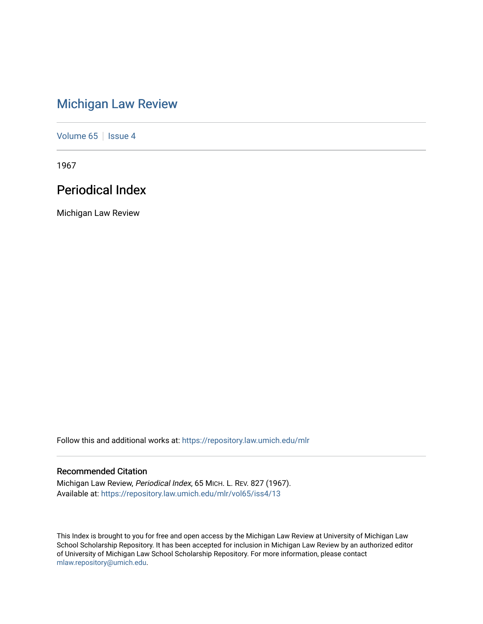# [Michigan Law Review](https://repository.law.umich.edu/mlr)

[Volume 65](https://repository.law.umich.edu/mlr/vol65) | [Issue 4](https://repository.law.umich.edu/mlr/vol65/iss4)

1967

# Periodical Index

Michigan Law Review

Follow this and additional works at: [https://repository.law.umich.edu/mlr](https://repository.law.umich.edu/mlr?utm_source=repository.law.umich.edu%2Fmlr%2Fvol65%2Fiss4%2F13&utm_medium=PDF&utm_campaign=PDFCoverPages) 

# Recommended Citation

Michigan Law Review, Periodical Index, 65 MICH. L. REV. 827 (1967). Available at: [https://repository.law.umich.edu/mlr/vol65/iss4/13](https://repository.law.umich.edu/mlr/vol65/iss4/13?utm_source=repository.law.umich.edu%2Fmlr%2Fvol65%2Fiss4%2F13&utm_medium=PDF&utm_campaign=PDFCoverPages) 

This Index is brought to you for free and open access by the Michigan Law Review at University of Michigan Law School Scholarship Repository. It has been accepted for inclusion in Michigan Law Review by an authorized editor of University of Michigan Law School Scholarship Repository. For more information, please contact [mlaw.repository@umich.edu.](mailto:mlaw.repository@umich.edu)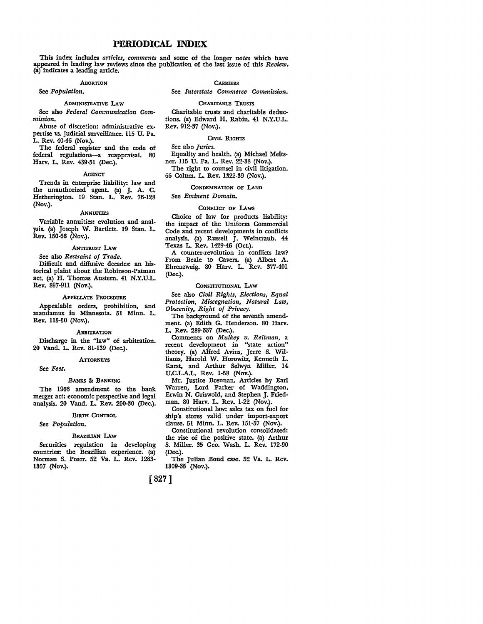# **PERIODICAL** INDEX

This index includes *articles, comments* and some of the longer *notes* which have appeared in leading law reviews since the publication of the last issue of this *Review.*  (a) indicates a leading article.

# .ABORTION

# See *Population.*

### ADMINISTRATIVE I.Aw

See also *Federal Communication Commission.* 

Abuse of discretion: administrative expertise vs. judicial surveillance. 115 U. Pa. L. Rev. 40-46 (Nov.).

The federal register and the code of federal regulations-a reappraisal. 80 Harv. L. Rev. 439-51 (Dec.).

# **AGENCY**

Trends in enterprise liability: law and the unauthorized agent. (a) J. A. C. Hetherington. 19 Stan. L. Rev. 76-128 (Nov.).

### **ANNUITIES**

Variable annuities: evolution and anal**ysis.** (a) Joseph W. Bartlett. 19 Stan. L. Rev. 150-66 (Nov.).

# ANTITRUST I.Aw

See also *Restraint of Trade.*  Difficult and diffusive decades: an historical plaint about the Robinson-Patman act. (a) H. Thomas Austern. 41 N.Y.U.L. Rev. 897-911 (Nov.).

### APPELLATE PROCEDURE

Appealable orders, prohibition, and mandamus in Minnesota. 51 Minn. L. Rev. 115-50 (Nov.).

### **ARBITRATION**

Discharge in the "law" of arbitration. 20 Vand. L. Rev. 81-139 (Dec.).

# **ATTORNEYS**

See *Fees.* 

# BANKS &: BANKING

The 1966 amendment to the bank merger act: economic perspective and legal analysis. 20 Vand. L. Rev. 200-30 (Dec.).

# BIRTH CONTROL

# See *Population.*

BRAZILIAN LAW

Securities regulation in developing countries: the Brazilian experience. (a) Norman S. Poser. 52 Va. L. Rev. 1283- 1307 (Nov.).

**CARRIERS** 

See *Interstate Commerce Commission.* 

# CHARITABLE TRUSTS

Charitable trusts and charitable deductions. (a) Edward H. Rabin. 41 N.Y.U.L. Rev. 912-37 (Nov.).

# CIVIL RIGHTS

See also *Juries.* 

Equality and health. (a) Michael Melts• ner. 115 U. Pa. L. Rev. 22-38 (Nov.). The right to counsel in civil litigation.

66 Colum. L. Rev. 1322-39 (Nov.).

# CONDEMNATION OF LAND

See *Eminent Domain.* 

# CONFLICT OF LAWS

Choice of law for products liability: the impact of the Uniform Commercial Code and recent developments in conflicts analysis. (a) Russell J. Weintraub. 44 Texas L. Rev. 1429-46 (Oct.).

A counter-revolution in conflicts law? From Beale to Cavers. (a) Albert A. Ehrenzweig. 80 Harv. L. Rev. 377-401 (Dec.).

# CONSTITUTIONAL LAW

See also *Civil Rights, Elections, Equal Protection, Miscegnation, Natural Law, Obscenity, Right of Privacy.* 

The background of the seventh amendment. (a) Edith G. Henderson. 80 Harv. L. Rev. 289-337 (Dec.).

Comments on *Mulkey v. Reitman,* a recent development in "state action" theory. (a) Alfred Avins, Jerre S. Williams, Harold W. Horowitz, Kenneth L. Karst, and Arthur Selwyn Miller. 14 U.C.L.A.L. Rev. 1-58 (Nov.).

Mr. Justice Brennan. Articles by Earl Warren, Lord Parker of Waddington, Erwin N. Griswold, and Stephen J. Friedman. 80 Harv. L. Rev. 1-22 (Nov.).

Constitutional law: sales tax on fuel for ship's stores valid under import-export clause. 51 Minn. L. Rev. 151-57 (Nov.).

Constitutional revolution consolidated: the rise of the positive state. (a) Arthur S. Miller. 35 Geo. Wash. L. Rev. 172-90 (Dec.).

The Julian Bond case. 52 Va. L. Rev. 1309-35 (Nov.).

# [827]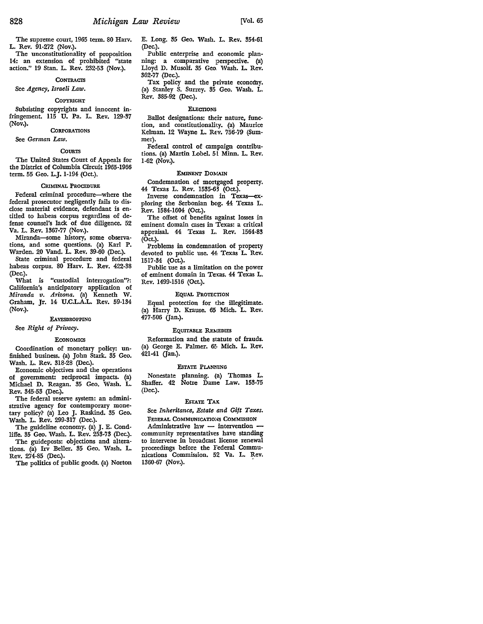The supreme court, 1965 term. 80 Harv. L. Rev. 91-272 (Nov.).

The unconstitutionality of proposition 14: an extension of prohibited "state action." 19 Stan. L. Rev. 232-53 (Nov.).

# **CONTRACTS**

# See *Agency, Israeli Law.*

### COPYRIGHT

Subsisting copyrights and innocent infringement. 115 U. Pa. L. Rev. 129-37

# CORPORATIONS See *German Law.*

# **COURTS**

The United States Court of Appeals for the District of Columbia Circuit 1965-1966 term. 55 Geo. L.J. 1-194 (Oct.).

### CRIMINAL PROCEDURE

Federal criminal procedure-where the federal prosecutor negligently fails to disclose material evidence, defendant is entitled to habeas corpus regardless of defense counsel's lack of due diligence. 52 Va. L. Rev. 1367-77 (Nov.).

Miranda-some history, some observations, and some questions. (a) Karl P. Warden. 20 Vand. L. Rev. 39-60 (Dec.).

State criminal procedure and federal habeas corpus. 80 Harv. L. Rev. 422-38 (Dec.).

What is "custodial interrogation"?: California's anticipatory application of *Miranda v. Arizona.* (a) Kenneth W. Graham, Jr. 14 U.C.L.A.L. Rev. 59-134 (Nov.).

# EAVESDROPPING

# See *Right of Privacy.*

# **ECONOMICS**

Coordination of monetary policy: unfinished business. (a) John Stark. 35 Geo. Wash. L. Rev. 318-28 (Dec.).

Economic objectives and the operations of government: reciprocal impacts. (a) Michael D. Reagan. 35 Geo. Wash. L. Rev. 345-53 (Dec.).

The federal reserve system: an administrative agency for contemporary monetary policy? (a) Leo J. Raskind. 35 Geo. Wash. L. Rev. 299-317 (Dec.).

The guideline economy. (a) J. E. Condliffe. 35 Geo. Wash. L. Rev. 253-73 (Dec.).

The guideposts: objections and alterations. (a) Irv Beller. 35 Geo. Wash. L. Rev. 274-85 (Dec.).

The politics of public goods. (a) Norton

E. Long. 35 Geo. Wash. L. Rev. 354-61 (Dec.).

Public enterprise and economic planning: a comparative perspective. (a) Lloyd D. Musolf. 35 Geo, Wash. L. Rev. 362-77 (Dec.).

Tax policy and the private economy. (a) Stanley S. Surrey. 35 Geo. Wash. L. Rev. 385-92 (Dec.).

# **ELECTIONS**

Ballot designations: their nature, function, and constitutionality. (a) Maurice Kelman. 12 Wayne L. Rev. 756-79 (Summer).

Federal control of campaign contributions. (a) Martin Lobel. 51 Minn. L. Rev. 1-62 (Nov.).

# EMINENT DOMAIN

Condemnation of mortgaged property. 44 Texas L. Rev. 1535-63 (Oct.).

Inverse condemnation in Texas-exploring the Serbonian bog. 44 Texas L. Rev. 1584-1604 (Oct.).

The offset of benefits against losses in eminent domain cases in Texas: a critical appraisal. 44 Texas L. Rev. 1564-83 (Oct.).

Problems in condemnation of property devoted to public use. 44: Texas L. Rev. 1517-34 (Oct.).

Public use as a limitation on the power of eminent domain in Texas. 44 Texas L. Rev. 1499-1516 (Oct.).

# EQUAL PROTECTION

Equal protection for the illegitimate. (a) Harry D. Krause. 65 Mich. L. Rev. 477-506 (Jan.).

# EQUITABLE REMEDIES

Reformation and the statute of frauds. (a) George E. Palmer. 6! Mich. L. Rev. 421-41 (Jan.).

# EsTATE PLANNING

Nonestate planning. (a) Thomas L. Shaffer. 42 Notre Dame Law. 153-75 (Dec.).

# EsTATE TAK

See *Inheritance, Estate and Gift Taxes.* 

FEDERAL COMMUNICATIONS COMMISSION Administrative law  $-$  intervention community representatives have standing to intervene in broadcast license renewal proceedings before the l'ederal Communications Commission. 52 Va. L. Rev. 1360-67 (Nov.).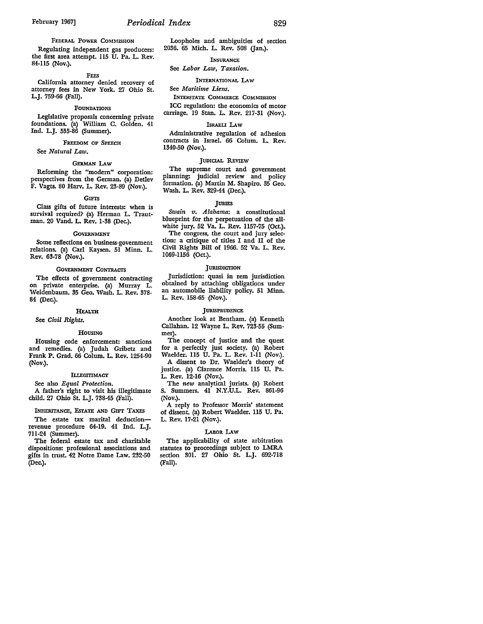Regulating independent gas producers: the first area attempt. 115 U. Pa. L. Rev. 84-115 (Nov.).

### FEES

California attorney denied recovery of attorney fees in New York. 27 Ohio St. L.J. 759-66 (Fall).

# FOUNDATIONS

Legislative proposals concerning private foundations. (a) William C. Golden. 41 Ind. L.J. 555-86 (Summer).

# FREEDOM OF SPEECH

See *Natural Law.* 

### GERMAN LAw

Reforming the "modem" corporation: perspectives from the German. {a) Detlev F. Vagts. 80 Harv. L. Rev. 23-89 (Nov.).

# **GIFTS**

Class gifts of future interests: when is survival required? {a) Herman L. Trautman. 20 Vand. L. Rev. 1-38 (Dec.).

# **GOVERNMENT**

Some reflections on business-government relations. (a) Carl Kaysen. 51 Minn. L. Rev. 63-78 (Nov.).

# GoVERNMENT CONTRACTS

The effects of government contracting on private enterprise. {a) Murray L. Weidenbaum. 35 Geo. Wash. L. Rev. 378- 84 (Dec.).

# HEALTH

See *Civil Rights.* 

# HOUSING

Housing code enforcement: sanctions and remedies. {a) Judah Gribetz and Frank P. Grad. 66 Colum. L. Rev. 1254-90 (Nov.).

### ILLEGITIMACY

See also *Equal Protection.* 

A father's right to visit his illegitimate child. 27 Ohio St. L.J. 738-45 (Fall).

# INHERITANCE, EsTATE AND GIFT TAXES

The estate tax marital deductionrevenue procedure 64-19. 41 Ind. L.J. 711-24 (Summer).

The federal estate tax and charitable dispositions: professional associations and gifts in trust. 42 Notre Dame Law. 232-50 (Dec.).

# Loopholes and ambiguities of section 2036. 65 Mich. L. Rev. 508 Gan.).

# INSURANCE

# See *Labor Law, Taxation.*

INTERNATIONAL LAW

# See *Maritime Liens.*

INTERSTATE COMMERCE COMMISSION ICC regulation: the economics of motor carriage. 19 Stan. L. Rev. 217-31 (Nov.).

# ISRAELI LAW

Administrative regulation of adhesion contracts in Israel. 66 Colum. L. Rev. 1340-50 (Nov.).

# JUDICIAL REVIEW

The supreme court and government planning: judicial review and policy formation. {a) Martin M. Shapiro. 35 Geo. Wash. L. Rev. 329-44 (Dec.).

# JURIES

*Swain v. Alabama:* a constitutional blueprint for the perpetuation of the allwhite jury. 52 Va. L. Rev. 1157-75 (Oct.). The congress, the court and jury selection: a critique of titles I and II of the Civil Rights Bill of 1966. 52 Va. L. Rev. 1069-1156 (Oct.).

# JURISDICTION

Jurisdiction: quasi in rem jurisdiction obtained by attaching obligations under an automobile liability policy. 51 Minn. L. Rev. 158-65 (Nov.).

### **JURISPRUDENCE**

Another look at Bentham. {a) Kenneth Callahan. 12 Wayne L. Rev. 723-55 (Summer).

The concept of justice and the quest for a perfectly just society. (a) Robert Waelder. 115 U. Pa. L. Rev. 1-11 (Nov.).

A dissent to Dr. Waelder's theory of justice. (a) Clarence Morris. 115 U. Pa. L. Rev. 12-16 (Nov.).

The *new* analytical jurists. (a) Robert S. Summers. 41 N.Y.U.L. Rev. 861-96 (Nov.).

A reply to Professor Morris' statement of dissent. (a) Robert Waelder. 115 U. Pa. L. Rev. 17-21 (Nov.).

### LABOR LAW

The applicability of state arbitration statutes to proceedings subject to LMRA section 301. 27 Ohio St. L.J. 692-718 (Fall).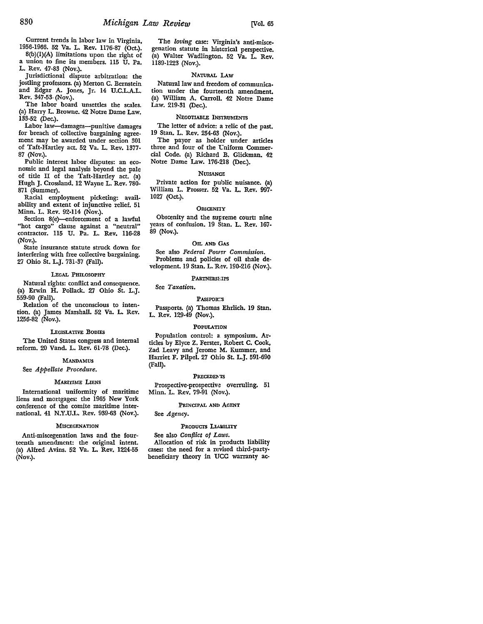Current trends in labor law in Virginia, 1956-1966. 52 Va. L. **Rev.** 1176-87 (Oct.).

8(b)(l)(A) limitations upon the right of a union to fine its members. 115 U. Pa. **L.** Rev. 47-83 (Nov.).

Jurisdictional dispute arbitration: the jostling professors. (a) Merton C. Bernstein and Edgar A. Jones, Jr. 14 U.C.L.A.L. Rev. 347-53- (Nov.).

The labor board unsettles the scales. (a) Harry L. Browne. 42 Notre Dame Law. 133-52 (Dec.).

Labor law-damages-punitive damages for breach of collective bargaining agreement may be awarded under section 301 of Taft-Hartley act. 52 Va. L. Rev. 1377- 87 (Nov.).

Public interest labor disputes: an economic and legal analysis beyond the pale of title II of the Taft-Hartley act. {a) Hugh J. Crossland. 12 Wayne L. **Rev.** 780- 871 (Summer).

Racial employment picketing: availability and extent of injunctive relief. 51 Minn. L. Rev. 92-114 (Nov.).

Section 8(e)-enforcement of a lawful "hot cargo" clause against a "neutral" contractor. 115 U. Pa. L. **Rev.** 116-28 (Nov.).

State insurance statute struck down for interfering with free collective bargaining. 27 Ohio St. L.J. 731-37 (Fall).

# LEGAL PHILOSOPHY

Natural rights: conflict and consequence. (a) Erwin H. Pollack. 27 Ohio St. L.J. 559-90 (Fall).

Relation of the unconscious to intention. (a) James Marshall. 52 Va. L. Rev. 1256-82 (Nov.).

### LEGISLATIVE BODIES

The United States congress and internal reform. 20 Vand. L. Rev. 61-78 (Dec.).

# MANDAMUS

See *Appellate Procedure.* 

# MARITIME LIENS

International uniformity of maritime liens and mortgages: the 1965 New York conference of the comite maritime international. 41 N.Y.U.L. Rev. 939-63 (Nov.).

### **MISCEGENATION**

Anti-miscegenation laws and the fourteenth amendment: the original intent. (a) Alfred Avins. 52 Va. L. Rev. 1224-55 (Nov.).

The *loving* case: Virginia's anti-miscegenation statute in historical perspective. (a) Walter Wadlington. 52 Va. L. Rev. 1189-1223 (Nov.).

# NATURAL LAW

Natural law and freedom of communication under the fourteenth amendment. (a) William A. Carroll. 42 Notre Dame Law. 219-31 (Dec.).

# NEGOTIABLE INSTRUMENTS

The letter of advice: a relic of the past. 19 Stan. L. Rev. 254-63 (Nov.).

The payor as holder under articles three and four of the Uniform Commercial Code. (a) Richard B. Glickman. 42 Notre Dame Law. 176-218 (Dec.).

# **NUISANCE**

Private action for public nuisance. (a) William L. Prosser. 52 Va. L. Rev. 997- 1027 (Oct.).

# **OBSCENITY**

Obscenity and the supreme court: nine years of confusion. 19 Stan. L. Rev. 167- 89 (Nov.).

# OIL AND GAS

See also *Federal Pow3r Commission.*  Problems and policies of oil shale development. 19 Stan. L. Rev. 190-216 (Nov.).

# PARTNERSE.IPS

# See *Taxation.*

PASSPOR'.:S

Passports. (a) Thomas Ehrlich. 19 Stan. L. Rev. 129-49 (Nov.).

### POPULATION

Population control: a. symposium. Articles by Elyce Z. Ferster, Robert C. Cook, Zad Leavy and Jerome M. Kummer, and Harriet F. Pilpel. 27 Ohio St. L.J. 591-690 (Fall).

# PRECEDENTS

Prospective-prospective overruling. 51 Minn. L. Rev. 79-91 (Nov.).

# PRINCIPAL AND AGENT

See *Agency.* 

# PRODUCTS LIABILITY

See also *Conflict of Laws.*  Allocation of risk in products liability cases: the need for a revised third-partybeneficiary theory in UCC warranty ac-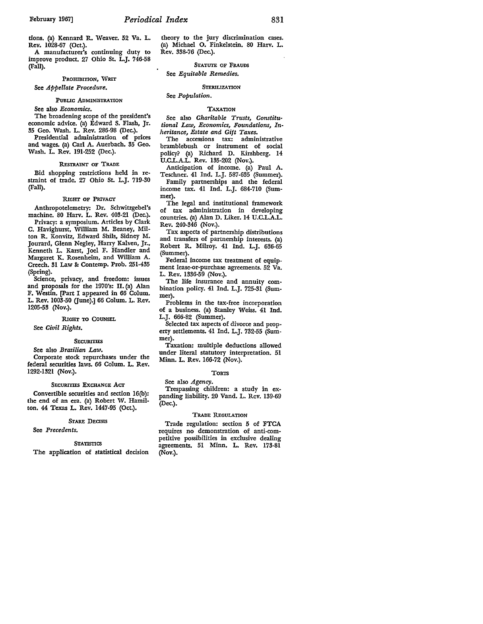tions. (a) Kennard R. Weaver. 52 Va. L. Rev. 1028-67 (Oct.).

A manufacturer's continuing duty to improve product. 27 Ohio St. L.J. 746-58 (Fall).

# PROHIBITION, WRIT See *Appellate Procedure.*

# PUBLIC ADMINISTRATION

See also *Economics.* 

The broadening scope of the president's economic advice. (a) Edward S. Flash, Jr. 35 Geo. Wash. L. Rev. 286-98 (Dec.).

Presidential administration of prices and wages. (a) Carl A. Auerbach. 35 Geo. Wash. L. Rev. 191-252 (Dec.).

# REsTRAINT OF TRADE

Bid shopping restrictions held in restraint of trade. 27 Ohio St. L.J. 719-30 (Fall).

# RIGHT OF PRIVACY

Anthropotelemetry: Dr. Schwitzgebel's machine. 80 Harv. L. Rev. 403-21 (Dec.).

Privacy: a symposium. Articles by Clark C. Havighurst, William M. Beaney, Milton R. Konvitz, Edward Shils, Sidney M. Jourard, Glenn Negley, Harry Kalven, Jr., Kenneth L. Karst, Joel F. Handler and Margaret K. Rosenheim, and William A. Creech. 31 Law&: Contemp. Prob. 251-435 (Spring).

Science, privacy, and freedom: issues and proposals for the 1970's: II. (a) Alan F. Westin. [Part I appeared in 66 Colum. L. Rev. 1003-50 (June).] 66 Colum. L. Rev. 1205-53 (Nov.).

# RIGHT TO COUNSEL

See *Civil Rights.* 

# **SECURITIES**

# See also *Brazilian Law.*

Corporate stock repurchases under tbe federal securities laws. 66 Colum. L. Rev. 1292-1321 (Nov.).

# SECURITIES EXCHANGE ACT

Convertible securities and section 16(b): the end of an era. (a) Robert W. Hamilton. 44 Texas L. Rev. 1447-95 (Oct.).

# STARE DECISIS

### See *Precedents.*

# **STATISTICS**

The application of statistical decision

tbeory to tbe jury discrimination cases. (a) Michael O. Finkelstein. 80 Harv. L. Rev. 338-76 (Dec.).

# STATUTE OF FRAUDS See *Equitable Remedies.*

# **STERILIZATION**

# See *Population.*

# TAXATION

See also *Charitable Trusts, Constitutional Law, Economics, Foundations, Inheritance, Estate and Gift Taxes.* 

The accessions tax: administrative bramblebush or instrument of social policy? (a) Richard D. Kirshberg. 14 U.CL.A.L. Rev. 135-202 (Nov.).

Anticipation of income. (a) Paul A. Teschner. 41 Ind. L.J. 587-635 (Summer). Family partnerships and the federal

income tax. 41 Ind. L.J. 684-710 (Summer).

The legal and institutional framework of tax administration in developing countries. (a) Alan D. Liker. 14 U.C.L.A.L. Rev. 240-346 (Nov.).

Tax aspects of partnership distributions and transfers of partnership interests. (a) Robert R. Milroy. 41 Ind. L.J. 636-65 (Summer).

Federal income tax treatment of equipment lease-or-purchase agreements. 52 Va. L. Rev. 1336-59 (Nov.).

The life insurance and annuity combination policy. 41 Ind. L.J. 725-31 (Summer).

Problems in tbe tax-free incorporation of a business. (a) Stanley Weiss. 41 Ind. L.J. 666-82 (Summer).

Selected tax aspects of divorce and property settlements. 41 Ind. L.J. 732-55 (Summer).

Taxation: multiple deductions allowed under literal statutory interpretation. 51 Minn. L. Rev. 166-72 (Nov.).

### **TORTS**

See also *Agency.* 

Trespassing children: a study in expanding liability. 20 Vand. L. Rev. 139-69 (Dec.).

# TRADE REGULATION

Trade regulation: section 5 of FTCA requires no demonstration of anti-competitive possibilities in exclusive dealing agreements. 51 Minn. L. Rev. 173-81 (Nov.).